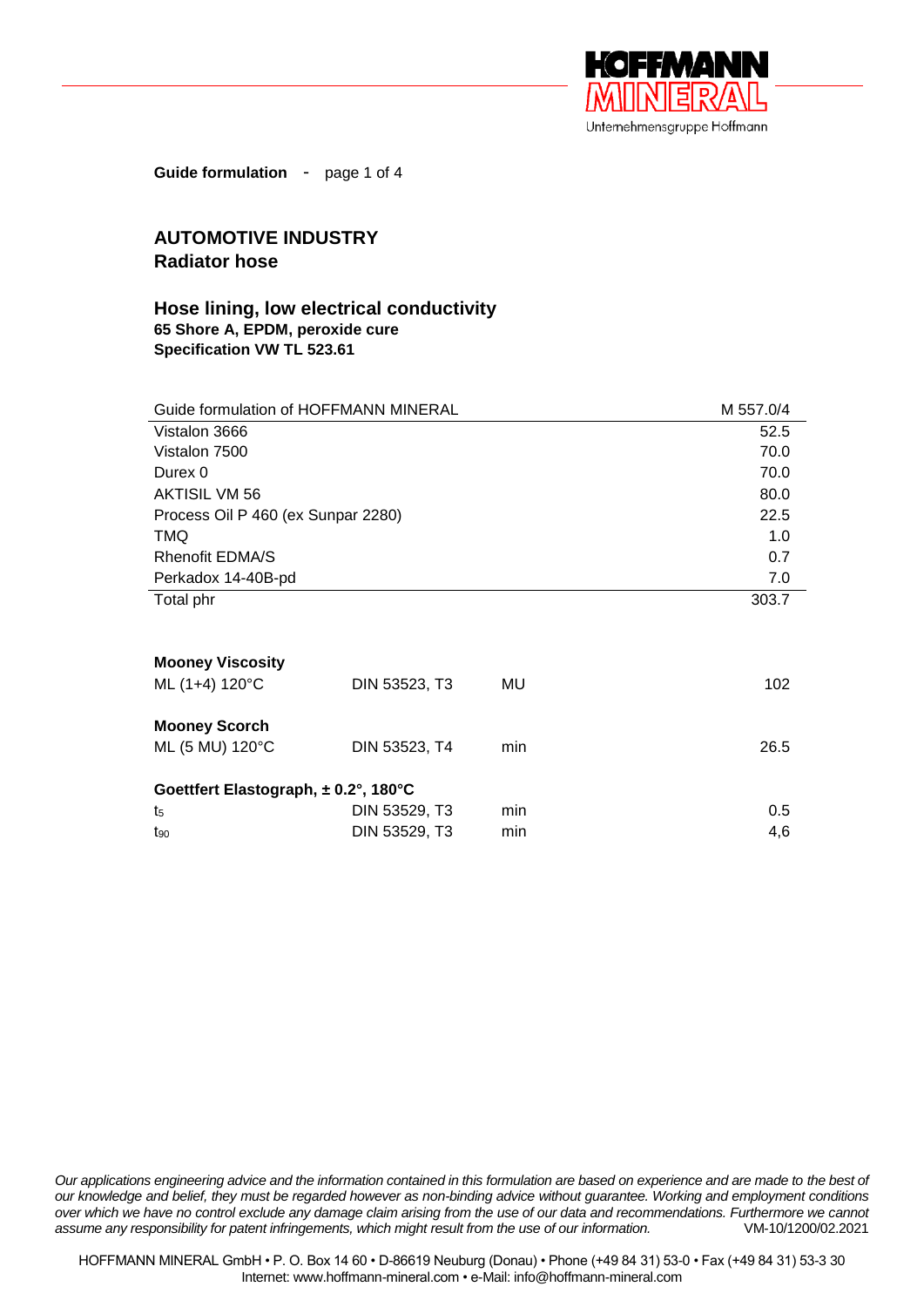

**Guide formulation** - page 1 of 4

## **AUTOMOTIVE INDUSTRY Radiator hose**

## **Hose lining, low electrical conductivity 65 Shore A, EPDM, peroxide cure Specification VW TL 523.61**

| Guide formulation of HOFFMANN MINERAL |               |     | M 557.0/4 |
|---------------------------------------|---------------|-----|-----------|
| Vistalon 3666                         |               |     | 52.5      |
| Vistalon 7500                         |               |     | 70.0      |
| Durex 0                               |               |     | 70.0      |
| AKTISIL VM 56                         |               |     | 80.0      |
| Process Oil P 460 (ex Sunpar 2280)    |               |     | 22.5      |
| <b>TMQ</b>                            |               |     | 1.0       |
| <b>Rhenofit EDMA/S</b>                |               |     | 0.7       |
| Perkadox 14-40B-pd                    |               |     | 7.0       |
| Total phr                             |               |     | 303.7     |
|                                       |               |     |           |
| <b>Mooney Viscosity</b>               |               |     |           |
| ML (1+4) 120°C                        | DIN 53523, T3 | MU  | 102       |
| <b>Mooney Scorch</b>                  |               |     |           |
| ML (5 MU) 120°C                       | DIN 53523, T4 | min | 26.5      |
| Goettfert Elastograph, ± 0.2°, 180°C  |               |     |           |
| t5                                    | DIN 53529, T3 | min | 0.5       |
| $t_{90}$                              | DIN 53529, T3 | min | 4,6       |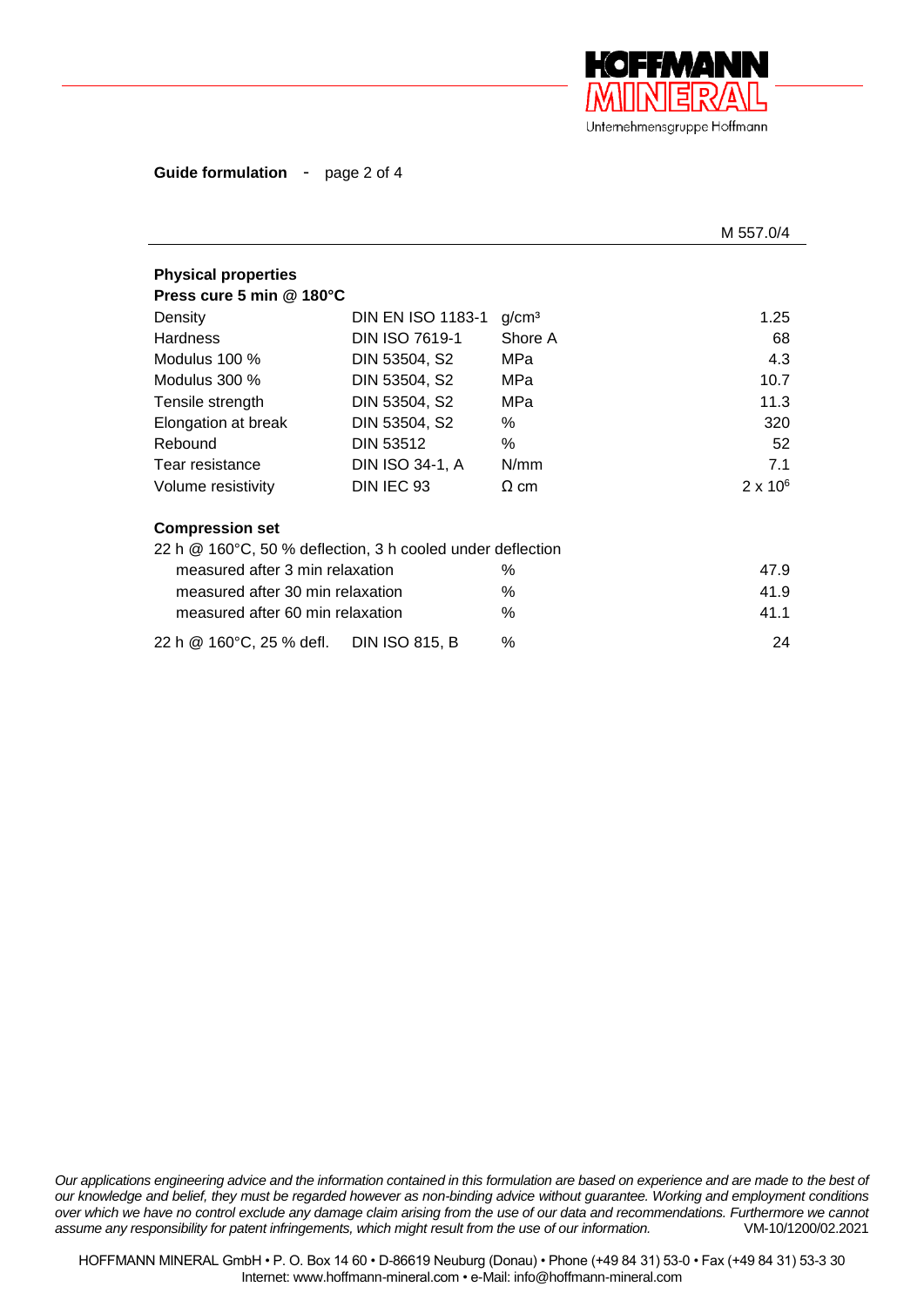

**Guide formulation** - page 2 of 4

|                                                                                      |                          |                   | M 557.0/4       |
|--------------------------------------------------------------------------------------|--------------------------|-------------------|-----------------|
| <b>Physical properties</b><br>Press cure 5 min @ 180°C                               |                          |                   |                 |
| Density                                                                              | <b>DIN EN ISO 1183-1</b> | g/cm <sup>3</sup> | 1.25            |
| <b>Hardness</b>                                                                      | <b>DIN ISO 7619-1</b>    | Shore A           | 68              |
| Modulus 100 %                                                                        | DIN 53504, S2            | MPa               | 4.3             |
| Modulus 300 %                                                                        | DIN 53504, S2            | MPa               | 10.7            |
| Tensile strength                                                                     | DIN 53504, S2            | MPa               | 11.3            |
| Elongation at break                                                                  | DIN 53504, S2            | %                 | 320             |
| Rebound                                                                              | DIN 53512                | $\%$              | 52              |
| Tear resistance                                                                      | DIN ISO 34-1, A          | N/mm              | 7.1             |
| Volume resistivity                                                                   | DIN IEC 93               | $\Omega$ cm       | $2 \times 10^6$ |
| <b>Compression set</b><br>22 h @ 160°C, 50 % deflection, 3 h cooled under deflection |                          |                   |                 |
| measured after 3 min relaxation                                                      |                          | ℅                 | 47.9            |
| measured after 30 min relaxation                                                     |                          | $\%$              | 41.9            |
| measured after 60 min relaxation                                                     |                          | $\%$              | 41.1            |
| 22 h @ 160°C, 25 % defl. DIN ISO 815, B                                              |                          | %                 | 24              |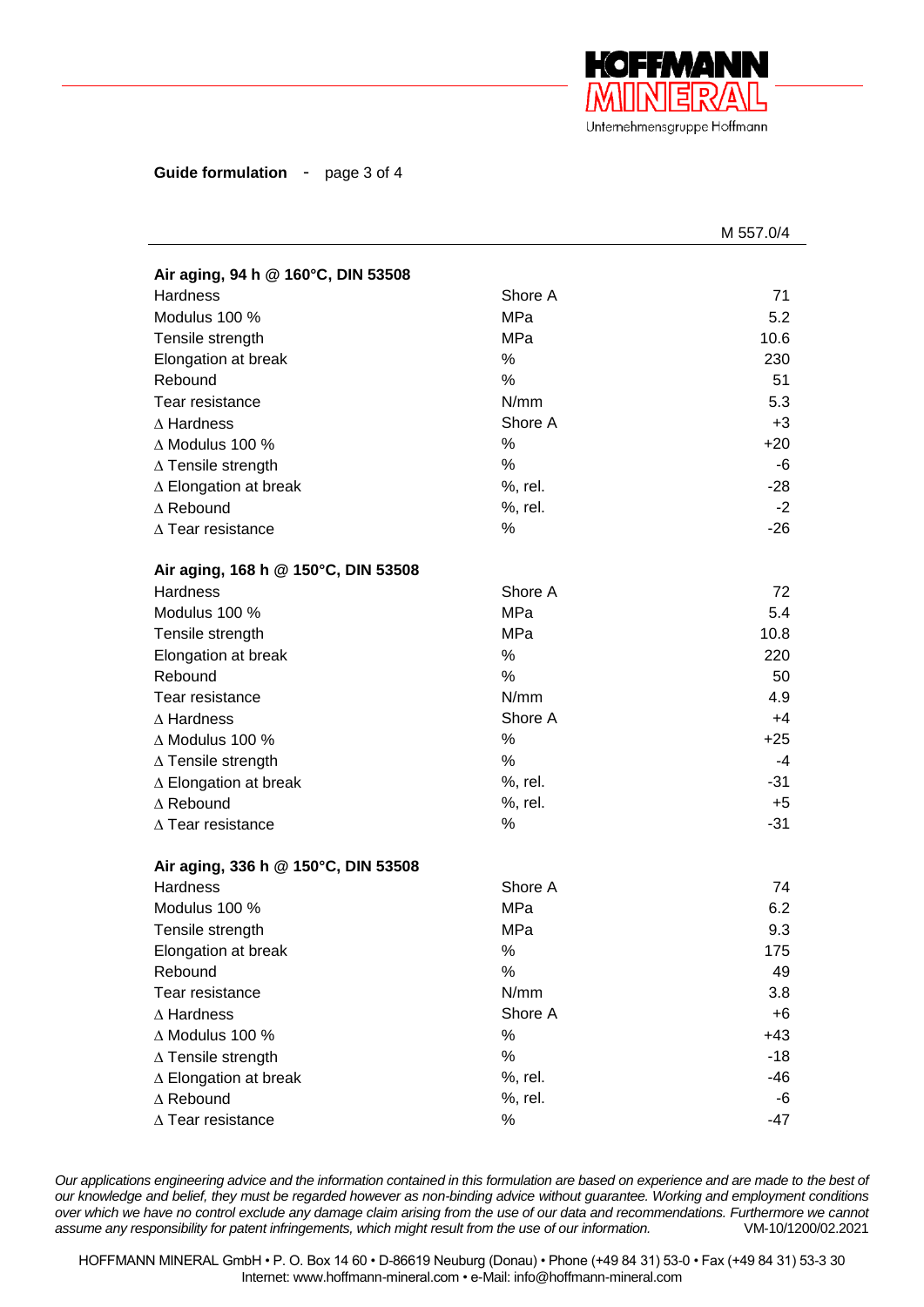

**Guide formulation** - page 3 of 4

|                                     |            | M 557.0/4 |
|-------------------------------------|------------|-----------|
| Air aging, 94 h @ 160°C, DIN 53508  |            |           |
| <b>Hardness</b>                     | Shore A    | 71        |
| Modulus 100 %                       | <b>MPa</b> | 5.2       |
| Tensile strength                    | MPa        | 10.6      |
| Elongation at break                 | %          | 230       |
| Rebound                             | %          | 51        |
| Tear resistance                     | N/mm       | 5.3       |
| $\Delta$ Hardness                   | Shore A    | $+3$      |
| $\triangle$ Modulus 100 %           | %          | $+20$     |
| $\Delta$ Tensile strength           | %          | -6        |
| $\triangle$ Elongation at break     | %, rel.    | $-28$     |
| $\Delta$ Rebound                    | %, rel.    | $-2$      |
| $\Delta$ Tear resistance            | %          | $-26$     |
|                                     |            |           |
| Air aging, 168 h @ 150°C, DIN 53508 |            |           |
| <b>Hardness</b>                     | Shore A    | 72        |
| Modulus 100 %                       | <b>MPa</b> | 5.4       |
| Tensile strength                    | <b>MPa</b> | 10.8      |
| Elongation at break                 | %          | 220       |
| Rebound                             | %          | 50        |
| Tear resistance                     | N/mm       | 4.9       |
| $\Delta$ Hardness                   | Shore A    | $+4$      |
| $\Delta$ Modulus 100 %              | $\%$       | $+25$     |
| $\Delta$ Tensile strength           | %          | -4        |
| $\triangle$ Elongation at break     | %, rel.    | $-31$     |
| $\Delta$ Rebound                    | %, rel.    | $+5$      |
| $\Delta$ Tear resistance            | %          | $-31$     |
| Air aging, 336 h @ 150°C, DIN 53508 |            |           |
| Hardness                            | Shore A    | 74        |
| Modulus 100 %                       | <b>MPa</b> | 6.2       |
| Tensile strength                    | MPa        | 9.3       |
| Elongation at break                 | %          | 175       |
| Rebound                             | %          | 49        |
| Tear resistance                     | N/mm       | 3.8       |
| $\Delta$ Hardness                   | Shore A    | $+6$      |
| $\Delta$ Modulus 100 %              | $\%$       | $+43$     |
| $\Delta$ Tensile strength           | $\%$       | $-18$     |
| ∆ Elongation at break               | %, rel.    | -46       |
| $\Delta$ Rebound                    | %, rel.    | -6        |
| $\Delta$ Tear resistance            | $\%$       | $-47$     |
|                                     |            |           |